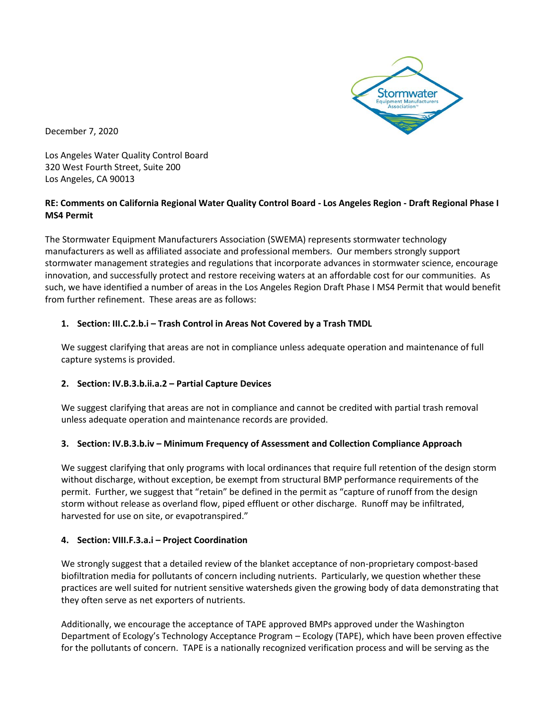

Los Angeles Water Quality Control Board 320 West Fourth Street, Suite 200 Los Angeles, CA 90013

## **RE: Comments on California Regional Water Quality Control Board - Los Angeles Region - Draft Regional Phase I MS4 Permit**

The Stormwater Equipment Manufacturers Association (SWEMA) represents stormwater technology manufacturers as well as affiliated associate and professional members. Our members strongly support stormwater management strategies and regulations that incorporate advances in stormwater science, encourage innovation, and successfully protect and restore receiving waters at an affordable cost for our communities. As such, we have identified a number of areas in the Los Angeles Region Draft Phase I MS4 Permit that would benefit from further refinement. These areas are as follows:

## **1. Section: III.C.2.b.i – Trash Control in Areas Not Covered by a Trash TMDL**

We suggest clarifying that areas are not in compliance unless adequate operation and maintenance of full capture systems is provided.

### **2. Section: IV.B.3.b.ii.a.2 – Partial Capture Devices**

We suggest clarifying that areas are not in compliance and cannot be credited with partial trash removal unless adequate operation and maintenance records are provided.

### **3. Section: IV.B.3.b.iv – Minimum Frequency of Assessment and Collection Compliance Approach**

We suggest clarifying that only programs with local ordinances that require full retention of the design storm without discharge, without exception, be exempt from structural BMP performance requirements of the permit. Further, we suggest that "retain" be defined in the permit as "capture of runoff from the design storm without release as overland flow, piped effluent or other discharge. Runoff may be infiltrated, harvested for use on site, or evapotranspired."

### **4. Section: VIII.F.3.a.i – Project Coordination**

We strongly suggest that a detailed review of the blanket acceptance of non-proprietary compost-based biofiltration media for pollutants of concern including nutrients. Particularly, we question whether these practices are well suited for nutrient sensitive watersheds given the growing body of data demonstrating that they often serve as net exporters of nutrients.

Additionally, we encourage the acceptance of TAPE approved BMPs approved under the Washington Department of Ecology's Technology Acceptance Program – Ecology (TAPE), which have been proven effective for the pollutants of concern. TAPE is a nationally recognized verification process and will be serving as the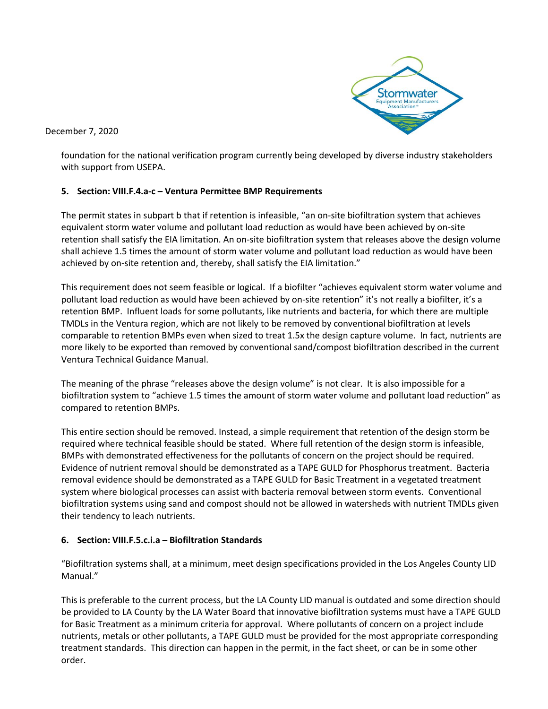

foundation for the national verification program currently being developed by diverse industry stakeholders with support from USEPA.

### **5. Section: VIII.F.4.a-c – Ventura Permittee BMP Requirements**

The permit states in subpart b that if retention is infeasible, "an on-site biofiltration system that achieves equivalent storm water volume and pollutant load reduction as would have been achieved by on-site retention shall satisfy the EIA limitation. An on-site biofiltration system that releases above the design volume shall achieve 1.5 times the amount of storm water volume and pollutant load reduction as would have been achieved by on-site retention and, thereby, shall satisfy the EIA limitation."

This requirement does not seem feasible or logical. If a biofilter "achieves equivalent storm water volume and pollutant load reduction as would have been achieved by on-site retention" it's not really a biofilter, it's a retention BMP. Influent loads for some pollutants, like nutrients and bacteria, for which there are multiple TMDLs in the Ventura region, which are not likely to be removed by conventional biofiltration at levels comparable to retention BMPs even when sized to treat 1.5x the design capture volume. In fact, nutrients are more likely to be exported than removed by conventional sand/compost biofiltration described in the current Ventura Technical Guidance Manual.

The meaning of the phrase "releases above the design volume" is not clear. It is also impossible for a biofiltration system to "achieve 1.5 times the amount of storm water volume and pollutant load reduction" as compared to retention BMPs.

This entire section should be removed. Instead, a simple requirement that retention of the design storm be required where technical feasible should be stated. Where full retention of the design storm is infeasible, BMPs with demonstrated effectiveness for the pollutants of concern on the project should be required. Evidence of nutrient removal should be demonstrated as a TAPE GULD for Phosphorus treatment. Bacteria removal evidence should be demonstrated as a TAPE GULD for Basic Treatment in a vegetated treatment system where biological processes can assist with bacteria removal between storm events. Conventional biofiltration systems using sand and compost should not be allowed in watersheds with nutrient TMDLs given their tendency to leach nutrients.

# **6. Section: VIII.F.5.c.i.a – Biofiltration Standards**

"Biofiltration systems shall, at a minimum, meet design specifications provided in the Los Angeles County LID Manual."

This is preferable to the current process, but the LA County LID manual is outdated and some direction should be provided to LA County by the LA Water Board that innovative biofiltration systems must have a TAPE GULD for Basic Treatment as a minimum criteria for approval. Where pollutants of concern on a project include nutrients, metals or other pollutants, a TAPE GULD must be provided for the most appropriate corresponding treatment standards. This direction can happen in the permit, in the fact sheet, or can be in some other order.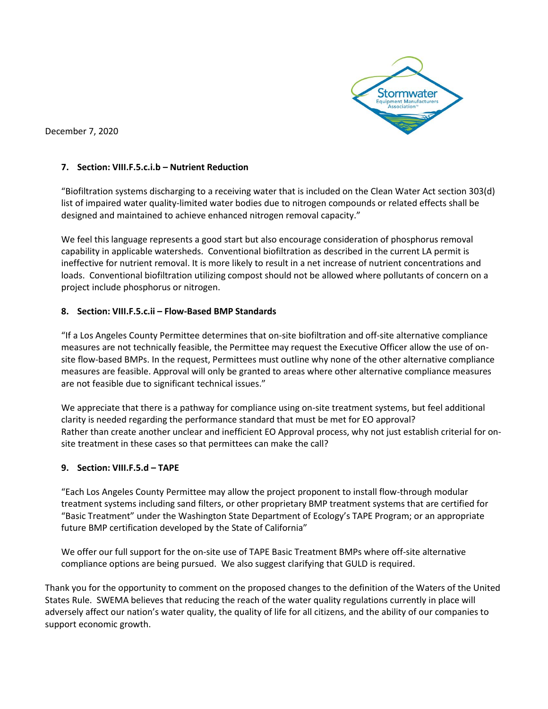

#### **7. Section: VIII.F.5.c.i.b – Nutrient Reduction**

"Biofiltration systems discharging to a receiving water that is included on the Clean Water Act section 303(d) list of impaired water quality-limited water bodies due to nitrogen compounds or related effects shall be designed and maintained to achieve enhanced nitrogen removal capacity."

We feel this language represents a good start but also encourage consideration of phosphorus removal capability in applicable watersheds. Conventional biofiltration as described in the current LA permit is ineffective for nutrient removal. It is more likely to result in a net increase of nutrient concentrations and loads. Conventional biofiltration utilizing compost should not be allowed where pollutants of concern on a project include phosphorus or nitrogen.

#### **8. Section: VIII.F.5.c.ii – Flow-Based BMP Standards**

"If a Los Angeles County Permittee determines that on-site biofiltration and off-site alternative compliance measures are not technically feasible, the Permittee may request the Executive Officer allow the use of onsite flow-based BMPs. In the request, Permittees must outline why none of the other alternative compliance measures are feasible. Approval will only be granted to areas where other alternative compliance measures are not feasible due to significant technical issues."

We appreciate that there is a pathway for compliance using on-site treatment systems, but feel additional clarity is needed regarding the performance standard that must be met for EO approval? Rather than create another unclear and inefficient EO Approval process, why not just establish criterial for onsite treatment in these cases so that permittees can make the call?

### **9. Section: VIII.F.5.d – TAPE**

"Each Los Angeles County Permittee may allow the project proponent to install flow-through modular treatment systems including sand filters, or other proprietary BMP treatment systems that are certified for "Basic Treatment" under the Washington State Department of Ecology's TAPE Program; or an appropriate future BMP certification developed by the State of California"

We offer our full support for the on-site use of TAPE Basic Treatment BMPs where off-site alternative compliance options are being pursued. We also suggest clarifying that GULD is required.

Thank you for the opportunity to comment on the proposed changes to the definition of the Waters of the United States Rule. SWEMA believes that reducing the reach of the water quality regulations currently in place will adversely affect our nation's water quality, the quality of life for all citizens, and the ability of our companies to support economic growth.